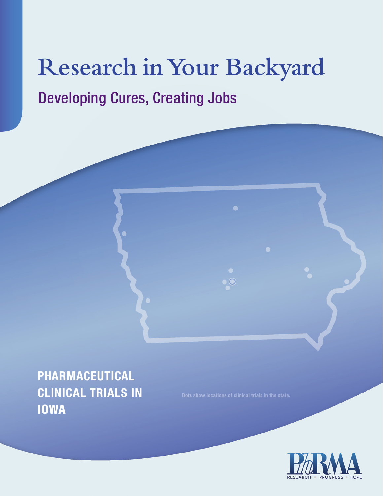# **Research in Your Backyard** Developing Cures, Creating Jobs

**PHARMACEUTICAL CLINICAL TRIALS IN**  IOWA

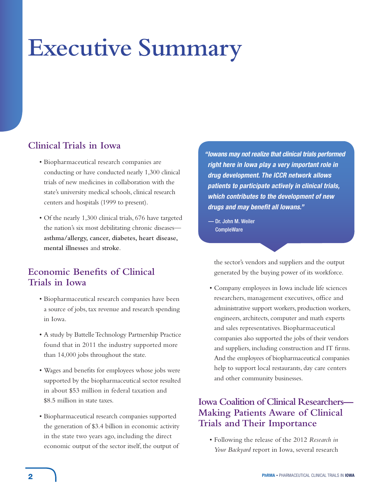# **Executive Summary**

# **Clinical Trials in Iowa**

- Biopharmaceutical research companies are conducting or have conducted nearly 1,300 clinical trials of new medicines in collaboration with the state's university medical schools, clinical research centers and hospitals (1999 to present).
- Of the nearly 1,300 clinical trials, 676 have targeted the nation's six most debilitating chronic diseases **asthma/allergy, cancer, diabetes, heart disease, mental illnesses** and **stroke**.

# **Economic Benefits of Clinical Trials in Iowa**

- Biopharmaceutical research companies have been a source of jobs, tax revenue and research spending in Iowa.
- A study by Battelle Technology Partnership Practice found that in 2011 the industry supported more than 14,000 jobs throughout the state.
- Wages and benefits for employees whose jobs were supported by the biopharmaceutical sector resulted in about \$53 million in federal taxation and \$8.5 million in state taxes.
- Biopharmaceutical research companies supported the generation of \$3.4 billion in economic activity in the state two years ago, including the direct economic output of the sector itself, the output of

*" Iowans may not realize that clinical trials performed right here in Iowa play a very important role in drug development. The ICCR network allows patients to participate actively in clinical trials, which contributes to the development of new drugs and may benefit all lowans."* 

 — Dr. John M. Weiler **CompleWare** 

> the sector's vendors and suppliers and the output generated by the buying power of its workforce.

• Company employees in Iowa include life sciences researchers, management executives, office and administrative support workers, production workers, engineers, architects, computer and math experts and sales representatives. Biopharmaceutical companies also supported the jobs of their vendors and suppliers, including construction and IT firms. And the employees of biopharmaceutical companies help to support local restaurants, day care centers and other community businesses.

# **Iowa Coalition of Clinical Researchers— Making Patients Aware of Clinical Trials and Their Importance**

• Following the release of the 2012 *Research in Your Backyard* report in Iowa, several research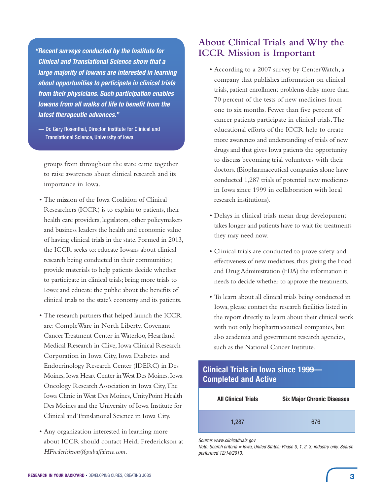*" Recent surveys conducted by the Institute for Clinical and Translational Science show that a large majority of Iowans are interested in learning about opportunities to participate in clinical trials from their physicians. Such participation enables <i>Iowans from all walks of life to benefit from the latest therapeutic advances."* 

 — Dr. Gary Rosenthal, Director, Institute for Clinical and Translational Science, University of Iowa

groups from throughout the state came together to raise awareness about clinical research and its importance in Iowa.

- The mission of the Iowa Coalition of Clinical Researchers (ICCR) is to explain to patients, their health care providers, legislators, other policymakers and business leaders the health and economic value of having clinical trials in the state. Formed in 2013, the ICCR seeks to: educate Iowans about clinical research being conducted in their communities; provide materials to help patients decide whether to participate in clinical trials; bring more trials to Iowa; and educate the public about the benefits of clinical trials to the state's economy and its patients.
- The research partners that helped launch the ICCR are: CompleWare in North Liberty, Covenant Cancer Treatment Center in Waterloo, Heartland Medical Research in Clive, Iowa Clinical Research Corporation in Iowa City, Iowa Diabetes and Endocrinology Research Center (IDERC) in Des Moines, Iowa Heart Center in West Des Moines, Iowa Oncology Research Association in Iowa City, The Iowa Clinic in West Des Moines, UnityPoint Health Des Moines and the University of Iowa Institute for Clinical and Translational Science in Iowa City.
- Any organization interested in learning more about ICCR should contact Heidi Frederickson at *HFrederickson@pubaffairsco.com.*

# **About Clinical Trials and Why the ICCR Mission is Important**

- According to a 2007 survey by CenterWatch, a company that publishes information on clinical trials, patient enrollment problems delay more than 70 percent of the tests of new medicines from one to six months. Fewer than five percent of cancer patients participate in clinical trials. The educational efforts of the ICCR help to create more awareness and understanding of trials of new drugs and that gives Iowa patients the opportunity to discuss becoming trial volunteers with their doctors. (Biopharmaceutical companies alone have conducted 1,287 trials of potential new medicines in Iowa since 1999 in collaboration with local research institutions).
- Delays in clinical trials mean drug development takes longer and patients have to wait for treatments they may need now.
- Clinical trials are conducted to prove safety and effectiveness of new medicines, thus giving the Food and Drug Administration (FDA) the information it needs to decide whether to approve the treatments.
- To learn about all clinical trials being conducted in Iowa, please contact the research facilities listed in the report directly to learn about their clinical work with not only biopharmaceutical companies, but also academia and government research agencies, such as the National Cancer Institute.

# **Clinical Trials in Iowa since 1999— Completed and Active**

| <b>All Clinical Trials</b> | <b>Six Major Chronic Diseases</b> |  |  |  |  |
|----------------------------|-----------------------------------|--|--|--|--|
| 1.287                      | 676                               |  |  |  |  |

*Source: www.clinicaltrials.gov*

*Note: Search criteria = Iowa, United States; Phase 0, 1, 2, 3; industry only. Search performed 12/14/2013.*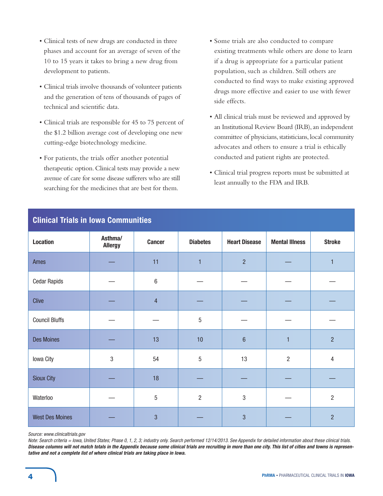- Clinical tests of new drugs are conducted in three phases and account for an average of seven of the 10 to 15 years it takes to bring a new drug from development to patients.
- Clinical trials involve thousands of volunteer patients and the generation of tens of thousands of pages of technical and scientific data.
- Clinical trials are responsible for 45 to 75 percent of the \$1.2 billion average cost of developing one new cutting-edge biotechnology medicine.
- For patients, the trials offer another potential therapeutic option. Clinical tests may provide a new avenue of care for some disease sufferers who are still searching for the medicines that are best for them.
- Some trials are also conducted to compare existing treatments while others are done to learn if a drug is appropriate for a particular patient population, such as children. Still others are conducted to find ways to make existing approved drugs more effective and easier to use with fewer side effects.
- All clinical trials must be reviewed and approved by an Institutional Review Board (IRB), an independent committee of physicians, statisticians, local community advocates and others to ensure a trial is ethically conducted and patient rights are protected.
- Clinical trial progress reports must be submitted at least annually to the FDA and IRB.

| <b>Clinical Trials in Iowa Communities</b> |                           |                |                 |                      |                       |                |  |  |  |
|--------------------------------------------|---------------------------|----------------|-----------------|----------------------|-----------------------|----------------|--|--|--|
| <b>Location</b>                            | Asthma/<br><b>Allergy</b> | <b>Cancer</b>  | <b>Diabetes</b> | <b>Heart Disease</b> | <b>Mental Illness</b> | <b>Stroke</b>  |  |  |  |
| Ames                                       |                           | 11             | $\mathbf{1}$    | $\overline{2}$       |                       | $\mathbf{1}$   |  |  |  |
| <b>Cedar Rapids</b>                        |                           | $\,6\,$        |                 |                      |                       |                |  |  |  |
| Clive                                      |                           | $\overline{4}$ |                 |                      |                       |                |  |  |  |
| <b>Council Bluffs</b>                      |                           |                | $\sqrt{5}$      |                      |                       |                |  |  |  |
| <b>Des Moines</b>                          |                           | 13             | 10              | $6\phantom{1}$       | 1                     | $\overline{2}$ |  |  |  |
| Iowa City                                  | $\sqrt{3}$                | 54             | $\overline{5}$  | 13                   | $\overline{2}$        | $\overline{4}$ |  |  |  |
| <b>Sioux City</b>                          |                           | 18             |                 |                      |                       |                |  |  |  |
| Waterloo                                   |                           | $\sqrt{5}$     | $\overline{2}$  | 3                    |                       | $\overline{2}$ |  |  |  |
| <b>West Des Moines</b>                     |                           | $\overline{3}$ |                 | 3                    |                       | $\overline{2}$ |  |  |  |

# **Clinical Trials in Iowa Communities**

*Source: www.clinicaltrials.gov*

*Note: Search criteria = Iowa, United States; Phase 0, 1, 2, 3; industry only. Search performed 12/14/2013. See Appendix for detailed information about these clinical trials. Disease columns will not match totals in the Appendix because some clinical trials are recruiting in more than one city. This list of cities and towns is representative and not a complete list of where clinical trials are taking place in Iowa.*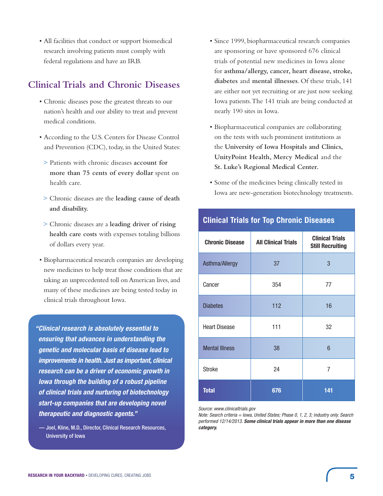• All facilities that conduct or support biomedical research involving patients must comply with federal regulations and have an IRB.

# **Clinical Trials and Chronic Diseases**

- Chronic diseases pose the greatest threats to our nation's health and our ability to treat and prevent medical conditions.
- According to the U.S. Centers for Disease Control and Prevention (CDC), today, in the United States:
- > Patients with chronic diseases **account for more than 75 cents of every dollar** spent on health care.
- > Chronic diseases are the **leading cause of death and disability.**
- > Chronic diseases are a **leading driver of rising health care costs** with expenses totaling billions of dollars every year.
- Biopharmaceutical research companies are developing new medicines to help treat those conditions that are taking an unprecedented toll on American lives, and many of these medicines are being tested today in clinical trials throughout Iowa.

*" Clinical research is absolutely essential to ensuring that advances in understanding the genetic and molecular basis of disease lead to improvements in health. Just as important, clinical research can be a driver of economic growth in Iowa through the building of a robust pipeline of clinical trials and nurturing of biotechnology start-up companies that are developing novel therapeutic and diagnostic agents."*

 — Joel, Kline, M.D., Director, Clinical Research Resources, University of Iowa

- Since 1999, biopharmaceutical research companies are sponsoring or have sponsored 676 clinical trials of potential new medicines in Iowa alone for **asthma/allergy, cancer, heart disease, stroke, diabetes** and **mental illnesses**. Of these trials, 141 are either not yet recruiting or are just now seeking Iowa patients. The 141 trials are being conducted at nearly 190 sites in Iowa.
- Biopharmaceutical companies are collaborating on the tests with such prominent institutions as the **University of Iowa Hospitals and Clinics, UnityPoint Health, Mercy Medical** and the **St. Luke's Regional Medical Center.**
- Some of the medicines being clinically tested in Iowa are new-generation biotechnology treatments.

| <b>Chronic Disease</b> | <b>All Clinical Trials</b> | <b>Clinical Trials</b><br><b>Still Recruiting</b> |
|------------------------|----------------------------|---------------------------------------------------|
| Asthma/Allergy         | 37                         | 3                                                 |
| Cancer                 | 354                        | 77                                                |
| <b>Diabetes</b>        | 112                        | 16                                                |
| <b>Heart Disease</b>   | 111                        | 32                                                |
| <b>Mental Illness</b>  | 38                         | 6                                                 |
| <b>Stroke</b>          | 24                         | 7                                                 |
| <b>Total</b>           | 676                        | 141                                               |

# **Clinical Trials for Top Chronic Diseases**

*Source: www.clinicaltrials.gov*

*Note: Search criteria = Iowa, United States; Phase 0, 1, 2, 3; industry only. Search performed 12/14/2013. Some clinical trials appear in more than one disease category.*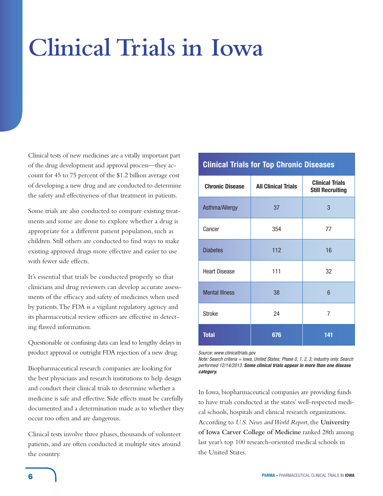# **Clinical Trials in Iowa**

Clinical tests of new medicines are a vitally important part of the drug development and approval process—they account for 45 to 75 percent of the \$1.2 billion average cost of developing a new drug and are conducted to determine the safety and effectiveness of that treatment in patients.

Some trials are also conducted to compare existing treatments and some are done to explore whether a drug is appropriate for a different patient population, such as children. Still others are conducted to find ways to make existing approved drugs more effective and easier to use with fewer side effects.

It's essential that trials be conducted properly so that clinicians and drug reviewers can develop accurate assessments of the efficacy and safety of medicines when used by patients. The FDA is a vigilant regulatory agency and its pharmaceutical review officers are effective in detecting flawed information.

Questionable or confusing data can lead to lengthy delays in product approval or outright FDA rejection of a new drug.

Biopharmaceutical research companies are looking for the best physicians and research institutions to help design and conduct their clinical trials to determine whether a medicine is safe and effective. Side effects must be carefully documented and a determination made as to whether they occur too often and are dangerous.

Clinical tests involve three phases, thousands of volunteer patients, and are often conducted at multiple sites around the country.

# **Clinical Trials for Top Chronic Diseases**

| <b>Chronic Disease</b> | <b>All Clinical Trials</b> | <b>Clinical Trials</b><br><b>Still Recruiting</b> |
|------------------------|----------------------------|---------------------------------------------------|
| Asthma/Allergy         | 37                         | 3                                                 |
| Cancer                 | 354                        | 77                                                |
| <b>Diabetes</b>        | 112                        | 16                                                |
| <b>Heart Disease</b>   | 111                        | 32                                                |
| <b>Mental Illness</b>  | 38                         | 6                                                 |
| <b>Stroke</b>          | 24                         | 7                                                 |
| <b>Total</b>           | 676                        | 141                                               |

*Source: www.clinicaltrials.gov*

*Note: Search criteria = Iowa, United States; Phase 0, 1, 2, 3; industry only. Search performed 12/14/2013. Some clinical trials appear in more than one disease category.*

In Iowa, biopharmaceutical companies are providing funds to have trials conducted at the states' well-respected medical schools, hospitals and clinical research organizations. According to *U.S. News and World Report*, the **University of Iowa Carver College of Medicine** ranked 28th among last year's top 100 research-oriented medical schools in the United States.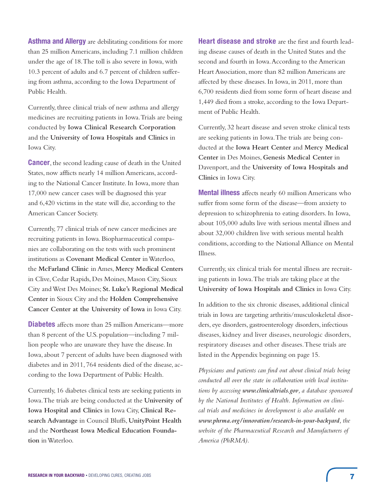**Asthma and Allergy** are debilitating conditions for more than 25 million Americans, including 7.1 million children under the age of 18. The toll is also severe in Iowa, with 10.3 percent of adults and 6.7 percent of children suffering from asthma, according to the Iowa Department of Public Health.

Currently, three clinical trials of new asthma and allergy medicines are recruiting patients in Iowa. Trials are being conducted by **Iowa Clinical Research Corporation**  and the **University of Iowa Hospitals and Clinics** in Iowa City.

**Cancer**, the second leading cause of death in the United States, now afflicts nearly 14 million Americans, according to the National Cancer Institute. In Iowa, more than 17,000 new cancer cases will be diagnosed this year and 6,420 victims in the state will die, according to the American Cancer Society.

Currently, 77 clinical trials of new cancer medicines are recruiting patients in Iowa. Biopharmaceutical companies are collaborating on the tests with such prominent institutions as **Covenant Medical Center** in Waterloo, the **McFarland Clinic** in Ames, **Mercy Medical Centers** in Clive, Cedar Rapids, Des Moines, Mason City, Sioux City and West Des Moines; **St. Luke's Regional Medical Center** in Sioux City and the **Holden Comprehensive Cancer Center at the University of Iowa** in Iowa City.

**Diabetes** affects more than 25 million Americans—more than 8 percent of the U.S. population—including 7 million people who are unaware they have the disease. In Iowa, about 7 percent of adults have been diagnosed with diabetes and in 2011, 764 residents died of the disease, according to the Iowa Department of Public Health.

Currently, 16 diabetes clinical tests are seeking patients in Iowa. The trials are being conducted at the **University of Iowa Hospital and Clinics** in Iowa City, **Clinical Research Advantage** in Council Bluffs, **UnityPoint Health**  and the **Northeast Iowa Medical Education Foundation** in Waterloo.

**Heart disease and stroke** are the first and fourth leading disease causes of death in the United States and the second and fourth in Iowa. According to the American Heart Association, more than 82 million Americans are affected by these diseases. In Iowa, in 2011, more than 6,700 residents died from some form of heart disease and 1,449 died from a stroke, according to the Iowa Department of Public Health.

Currently, 32 heart disease and seven stroke clinical tests are seeking patients in Iowa. The trials are being conducted at the **Iowa Heart Center** and **Mercy Medical Center** in Des Moines, **Genesis Medical Center** in Davenport, and the **University of Iowa Hospitals and Clinics** in Iowa City.

**Mental illness** affects nearly 60 million Americans who suffer from some form of the disease—from anxiety to depression to schizophrenia to eating disorders. In Iowa, about 105,000 adults live with serious mental illness and about 32,000 children live with serious mental health conditions, according to the National Alliance on Mental Illness.

Currently, six clinical trials for mental illness are recruiting patients in Iowa. The trials are taking place at the **University of Iowa Hospitals and Clinics** in Iowa City.

In addition to the six chronic diseases, additional clinical trials in Iowa are targeting arthritis/musculoskeletal disorders, eye disorders, gastroenterology disorders, infectious diseases, kidney and liver diseases, neurologic disorders, respiratory diseases and other diseases. These trials are listed in the Appendix beginning on page 15.

*Physicians and patients can find out about clinical trials being conducted all over the state in collaboration with local institutions by accessing www.clinicaltrials.gov, a database sponsored by the National Institutes of Health. Information on clinical trials and medicines in development is also available on www.phrma.org/innovation/research-in-your-backyard, the website of the Pharmaceutical Research and Manufacturers of America (PhRMA).*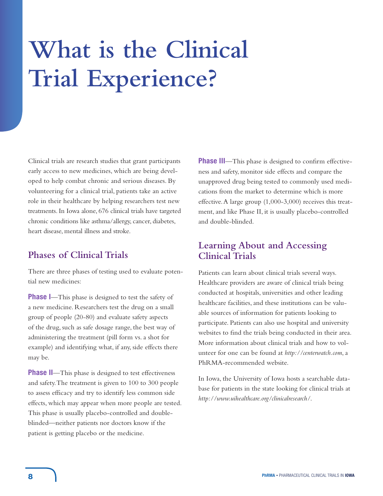# **What is the Clinical Trial Experience?**

Clinical trials are research studies that grant participants early access to new medicines, which are being developed to help combat chronic and serious diseases. By volunteering for a clinical trial, patients take an active role in their healthcare by helping researchers test new treatments. In Iowa alone, 676 clinical trials have targeted chronic conditions like asthma/allergy, cancer, diabetes, heart disease, mental illness and stroke.

# **Phases of Clinical Trials**

There are three phases of testing used to evaluate potential new medicines:

**Phase I**—This phase is designed to test the safety of a new medicine. Researchers test the drug on a small group of people (20-80) and evaluate safety aspects of the drug, such as safe dosage range, the best way of administering the treatment (pill form vs. a shot for example) and identifying what, if any, side effects there may be.

**Phase II**—This phase is designed to test effectiveness and safety. The treatment is given to 100 to 300 people to assess efficacy and try to identify less common side effects, which may appear when more people are tested. This phase is usually placebo-controlled and doubleblinded—neither patients nor doctors know if the patient is getting placebo or the medicine.

**Phase III**—This phase is designed to confirm effectiveness and safety, monitor side effects and compare the unapproved drug being tested to commonly used medications from the market to determine which is more effective. A large group (1,000-3,000) receives this treatment, and like Phase II, it is usually placebo-controlled and double-blinded.

# **Learning About and Accessing Clinical Trials**

Patients can learn about clinical trials several ways. Healthcare providers are aware of clinical trials being conducted at hospitals, universities and other leading healthcare facilities, and these institutions can be valuable sources of information for patients looking to participate. Patients can also use hospital and university websites to find the trials being conducted in their area. More information about clinical trials and how to volunteer for one can be found at *http://centerwatch.com*, a PhRMA-recommended website.

In Iowa, the University of Iowa hosts a searchable database for patients in the state looking for clinical trials at *http://www.uihealthcare.org/clinicalresearch/*.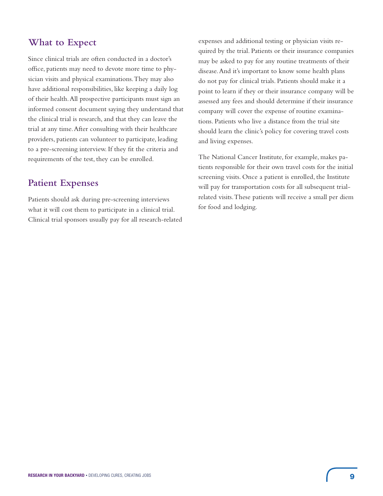# **What to Expect**

Since clinical trials are often conducted in a doctor's office, patients may need to devote more time to physician visits and physical examinations. They may also have additional responsibilities, like keeping a daily log of their health. All prospective participants must sign an informed consent document saying they understand that the clinical trial is research, and that they can leave the trial at any time. After consulting with their healthcare providers, patients can volunteer to participate, leading to a pre-screening interview. If they fit the criteria and requirements of the test, they can be enrolled.

# **Patient Expenses**

Patients should ask during pre-screening interviews what it will cost them to participate in a clinical trial. Clinical trial sponsors usually pay for all research-related

expenses and additional testing or physician visits required by the trial. Patients or their insurance companies may be asked to pay for any routine treatments of their disease. And it's important to know some health plans do not pay for clinical trials. Patients should make it a point to learn if they or their insurance company will be assessed any fees and should determine if their insurance company will cover the expense of routine examinations. Patients who live a distance from the trial site should learn the clinic's policy for covering travel costs and living expenses.

The National Cancer Institute, for example, makes patients responsible for their own travel costs for the initial screening visits. Once a patient is enrolled, the Institute will pay for transportation costs for all subsequent trialrelated visits. These patients will receive a small per diem for food and lodging.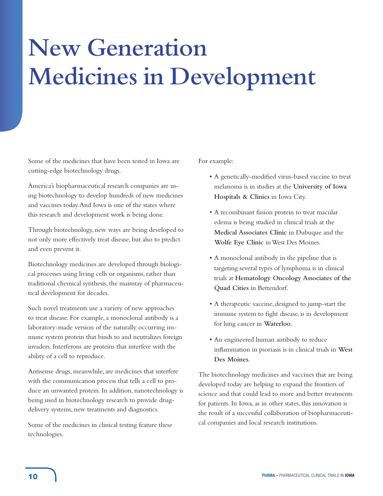# **New Generation Medicines in Development**

Some of the medicines that have been tested in Iowa are cutting-edge biotechnology drugs.

America's biopharmaceutical research companies are using biotechnology to develop hundreds of new medicines and vaccines today. And Iowa is one of the states where this research and development work is being done.

Through biotechnology, new ways are being developed to not only more effectively treat disease, but also to predict and even prevent it.

Biotechnology medicines are developed through biological processes using living cells or organisms, rather than traditional chemical synthesis, the mainstay of pharmaceutical development for decades.

Such novel treatments use a variety of new approaches to treat disease. For example, a monoclonal antibody is a laboratory-made version of the naturally occurring immune system protein that binds to and neutralizes foreign invaders. Interferons are proteins that interfere with the ability of a cell to reproduce.

Antisense drugs, meanwhile, are medicines that interfere with the communication process that tells a cell to produce an unwanted protein. In addition, nanotechnology is being used in biotechnology research to provide drugdelivery systems, new treatments and diagnostics.

Some of the medicines in clinical testing feature these technologies.

For example:

- A genetically-modified virus-based vaccine to treat melanoma is in studies at the **University of Iowa Hospitals & Clinics** in Iowa City.
- A recombinant fusion protein to treat macular edema is being studied in clinical trials at the **Medical Associates Clinic** in Dubuque and the **Wolfe Eye Clinic** in West Des Moines.
- A monoclonal antibody in the pipeline that is targeting several types of lymphoma is in clinical trials at **Hematology Oncology Associates of the Quad Cities** in Bettendorf.
- A therapeutic vaccine, designed to jump-start the immune system to fight disease, is in development for lung cancer in **Waterloo**.
- An engineered human antibody to reduce inflammation in psoriasis is in clinical trials in **West Des Moines**.

The biotechnology medicines and vaccines that are being developed today are helping to expand the frontiers of science and that could lead to more and better treatments for patients. In Iowa, as in other states, this innovation is the result of a successful collaboration of biopharmaceutical companies and local research institutions.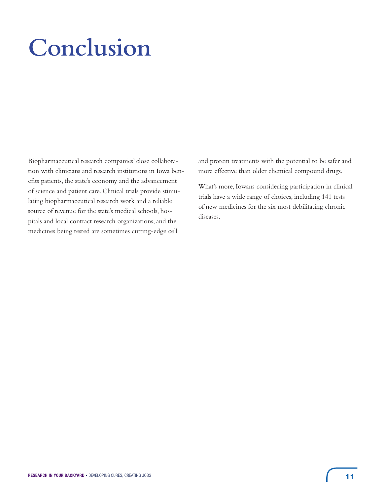# **Conclusion**

Biopharmaceutical research companies' close collaboration with clinicians and research institutions in Iowa benefits patients, the state's economy and the advancement of science and patient care. Clinical trials provide stimulating biopharmaceutical research work and a reliable source of revenue for the state's medical schools, hospitals and local contract research organizations, and the medicines being tested are sometimes cutting-edge cell

and protein treatments with the potential to be safer and more effective than older chemical compound drugs.

What's more, Iowans considering participation in clinical trials have a wide range of choices, including 141 tests of new medicines for the six most debilitating chronic diseases.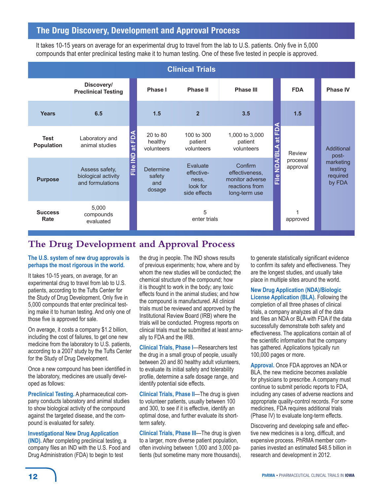# **The Drug Discovery, Development and Approval Process**

It takes 10-15 years on average for an experimental drug to travel from the lab to U.S. patients. Only five in 5,000 compounds that enter preclinical testing make it to human testing. One of these five tested in people is approved.

| <b>Clinical Trials</b>           |                                                           |                          |                                             |                                                             |                                                                                 |                                            |                      |                                            |
|----------------------------------|-----------------------------------------------------------|--------------------------|---------------------------------------------|-------------------------------------------------------------|---------------------------------------------------------------------------------|--------------------------------------------|----------------------|--------------------------------------------|
|                                  | Discovery/<br><b>Preclinical Testing</b>                  |                          | Phase I                                     | Phase II                                                    | <b>Phase III</b>                                                                |                                            | <b>FDA</b>           | <b>Phase IV</b>                            |
| <b>Years</b>                     | 6.5                                                       |                          | 1.5                                         | $\overline{2}$                                              | 3.5                                                                             |                                            | 1.5                  |                                            |
| <b>Test</b><br><b>Population</b> | Laboratory and<br>animal studies                          | Ë<br>$\vec{a}$<br>□      | 20 to 80<br>healthy<br>volunteers           | 100 to 300<br>patient<br>volunteers                         | 1,000 to 3,000<br>patient<br>volunteers                                         | ED<br>$\vec{a}$<br>ក                       | Review               | Additional<br>post-                        |
| <b>Purpose</b>                   | Assess safety,<br>biological activity<br>and formulations | $\frac{e}{\overline{L}}$ | <b>Determine</b><br>safety<br>and<br>dosage | Evaluate<br>effective-<br>ness,<br>look for<br>side effects | Confirm<br>effectiveness,<br>monitor adverse<br>reactions from<br>long-term use | $\mathbf{\Xi}$<br>$\frac{e}{\overline{L}}$ | process/<br>approval | marketing<br>testing<br>required<br>by FDA |
| <b>Success</b><br>Rate           | 5,000<br>compounds<br>evaluated                           |                          |                                             | 5<br>enter trials                                           |                                                                                 |                                            | approved             |                                            |

# **The Drug Development and Approval Process**

# **The U.S. system of new drug approvals is perhaps the most rigorous in the world.**

It takes 10-15 years, on average, for an experimental drug to travel from lab to U.S. patients, according to the Tufts Center for the Study of Drug Development. Only five in 5,000 compounds that enter preclinical testing make it to human testing. And only one of those five is approved for sale.

On average, it costs a company \$1.2 billion, including the cost of failures, to get one new medicine from the laboratory to U.S. patients, according to a 2007 study by the Tufts Center for the Study of Drug Development.

Once a new compound has been identified in the laboratory, medicines are usually developed as follows:

**Preclinical Testing.** A pharmaceutical company conducts laboratory and animal studies to show biological activity of the compound against the targeted disease, and the compound is evaluated for safety.

**Investigational New Drug Application (IND).** After completing preclinical testing, a company files an IND with the U.S. Food and Drug Administration (FDA) to begin to test

the drug in people. The IND shows results of previous experiments; how, where and by whom the new studies will be conducted; the chemical structure of the compound; how it is thought to work in the body; any toxic effects found in the animal studies; and how the compound is manufactured. All clinical trials must be reviewed and approved by the Institutional Review Board (IRB) where the trials will be conducted. Progress reports on clinical trials must be submitted at least annually to FDA and the IRB.

**Clinical Trials, Phase I**—Researchers test the drug in a small group of people, usually between 20 and 80 healthy adult volunteers, to evaluate its initial safety and tolerability profile, determine a safe dosage range, and identify potential side effects.

**Clinical Trials, Phase II**—The drug is given to volunteer patients, usually between 100 and 300, to see if it is effective, identify an optimal dose, and further evaluate its shortterm safety.

**Clinical Trials, Phase III**—The drug is given to a larger, more diverse patient population, often involving between 1,000 and 3,000 patients (but sometime many more thousands), to generate statistically significant evidence to confirm its safety and effectiveness. They are the longest studies, and usually take place in multiple sites around the world.

# **New Drug Application (NDA)/Biologic**

**License Application (BLA).** Following the completion of all three phases of clinical trials, a company analyzes all of the data and files an NDA or BLA with FDA if the data successfully demonstrate both safety and effectiveness. The applications contain all of the scientific information that the company has gathered. Applications typically run 100,000 pages or more.

**Approval.** Once FDA approves an NDA or BLA, the new medicine becomes available for physicians to prescribe. A company must continue to submit periodic reports to FDA, including any cases of adverse reactions and appropriate quality-control records. For some medicines, FDA requires additional trials (Phase IV) to evaluate long-term effects.

Discovering and developing safe and effective new medicines is a long, difficult, and expensive process. PhRMA member companies invested an estimated \$48.5 billion in research and development in 2012.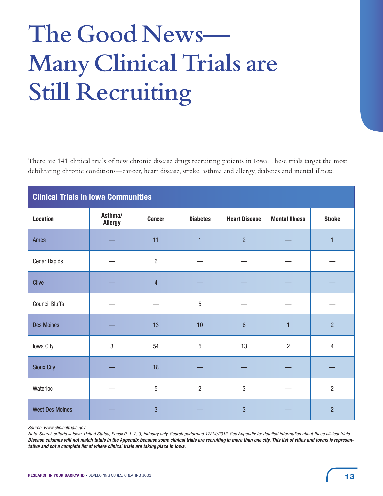# **The Good News— Many Clinical Trials are Still Recruiting**

There are 141 clinical trials of new chronic disease drugs recruiting patients in Iowa. These trials target the most debilitating chronic conditions—cancer, heart disease, stroke, asthma and allergy, diabetes and mental illness.

| <b>Clinical Trials in Iowa Communities</b> |                           |                |                 |                      |                       |                |  |  |
|--------------------------------------------|---------------------------|----------------|-----------------|----------------------|-----------------------|----------------|--|--|
| <b>Location</b>                            | Asthma/<br><b>Allergy</b> | <b>Cancer</b>  | <b>Diabetes</b> | <b>Heart Disease</b> | <b>Mental Illness</b> | <b>Stroke</b>  |  |  |
| Ames                                       |                           | 11             | $\overline{1}$  | $\overline{2}$       |                       | $\mathbf{1}$   |  |  |
| <b>Cedar Rapids</b>                        |                           | 6              |                 |                      |                       |                |  |  |
| Clive                                      |                           | $\overline{4}$ |                 |                      |                       |                |  |  |
| <b>Council Bluffs</b>                      |                           |                | $\sqrt{5}$      |                      |                       |                |  |  |
| <b>Des Moines</b>                          |                           | 13             | 10              | $\sqrt{6}$           | $\mathbf{1}$          | $\overline{2}$ |  |  |
| Iowa City                                  | 3                         | 54             | $\sqrt{5}$      | 13                   | $\overline{2}$        | $\overline{4}$ |  |  |
| <b>Sioux City</b>                          |                           | 18             |                 |                      |                       |                |  |  |
| Waterloo                                   |                           | 5              | $\overline{2}$  | 3                    |                       | $\overline{2}$ |  |  |
| <b>West Des Moines</b>                     |                           | 3              |                 | 3                    |                       | $\overline{2}$ |  |  |

*Source: www.clinicaltrials.gov*

*Note: Search criteria = Iowa, United States; Phase 0, 1, 2, 3; industry only. Search performed 12/14/2013. See Appendix for detailed information about these clinical trials. Disease columns will not match totals in the Appendix because some clinical trials are recruiting in more than one city. This list of cities and towns is representative and not a complete list of where clinical trials are taking place in Iowa.*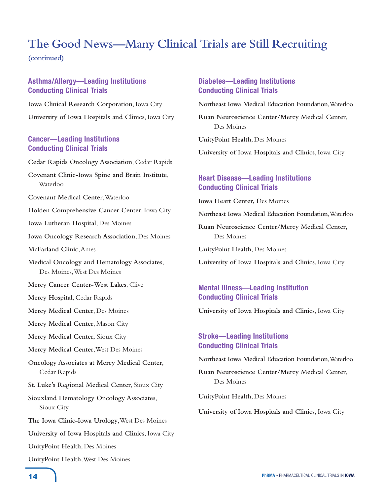# **The Good News—Many Clinical Trials are Still Recruiting**

**(continued)**

# **Asthma/Allergy—Leading Institutions Conducting Clinical Trials**

**Iowa Clinical Research Corporation**, Iowa City **University of Iowa Hospitals and Clinics**, Iowa City

# **Cancer—Leading Institutions Conducting Clinical Trials**

**Cedar Rapids Oncology Association**, Cedar Rapids

- **Covenant Clinic-Iowa Spine and Brain Institute**, Waterloo
- **Covenant Medical Center**, Waterloo

**Holden Comprehensive Cancer Center**, Iowa City

**Iowa Lutheran Hospital**, Des Moines

**Iowa Oncology Research Association**, Des Moines

**McFarland Clinic**, Ames

**Medical Oncology and Hematology Associates**, Des Moines, West Des Moines

- **Mercy Cancer Center-West Lakes**, Clive
- **Mercy Hospital**, Cedar Rapids

**Mercy Medical Center**, Des Moines

- **Mercy Medical Center**, Mason City
- **Mercy Medical Center,** Sioux City

**Mercy Medical Center**, West Des Moines

**Oncology Associates at Mercy Medical Center**, Cedar Rapids

- **St. Luke's Regional Medical Center**, Sioux City
- **Siouxland Hematology Oncology Associates**, Sioux City

**The Iowa Clinic-Iowa Urology**, West Des Moines

**University of Iowa Hospitals and Clinics**, Iowa City

**UnityPoint Health**, Des Moines

**UnityPoint Health**, West Des Moines

# **Diabetes—Leading Institutions Conducting Clinical Trials**

**Northeast Iowa Medical Education Foundation**, Waterloo

**Ruan Neuroscience Center/Mercy Medical Center**, Des Moines

**UnityPoint Health**, Des Moines

**University of Iowa Hospitals and Clinics**, Iowa City

# **Heart Disease—Leading Institutions Conducting Clinical Trials**

**Iowa Heart Center,** Des Moines

**Northeast Iowa Medical Education Foundation**, Waterloo

**Ruan Neuroscience Center/Mercy Medical Center,** Des Moines

**UnityPoint Health**, Des Moines

**University of Iowa Hospitals and Clinics**, Iowa City

# **Mental Illness—Leading Institution Conducting Clinical Trials**

**University of Iowa Hospitals and Clinics**, Iowa City

# **Stroke—Leading Institutions Conducting Clinical Trials**

**Northeast Iowa Medical Education Foundation**, Waterloo

**Ruan Neuroscience Center/Mercy Medical Center**, Des Moines

**UnityPoint Health**, Des Moines

**University of Iowa Hospitals and Clinics**, Iowa City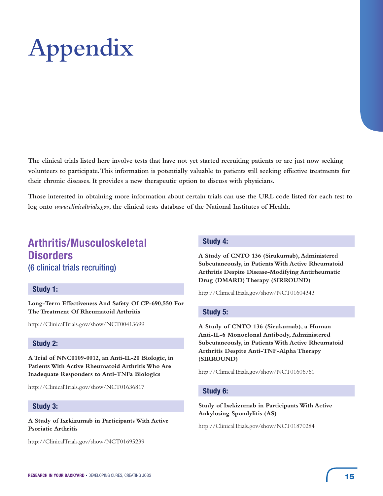# **Appendix**

**The clinical trials listed here involve tests that have not yet started recruiting patients or are just now seeking volunteers to participate. This information is potentially valuable to patients still seeking effective treatments for their chronic diseases. It provides a new therapeutic option to discuss with physicians.** 

**Those interested in obtaining more information about certain trials can use the URL code listed for each test to log onto** *www.clinicaltrials.gov***, the clinical tests database of the National Institutes of Health.** 

# **Arthritis/Musculoskeletal Disorders** (6 clinical trials recruiting)

# **Study 1:**

**Long-Term Effectiveness And Safety Of CP-690,550 For The Treatment Of Rheumatoid Arthritis**

http://ClinicalTrials.gov/show/NCT00413699

# **Study 2:**

**A Trial of NNC0109-0012, an Anti-IL-20 Biologic, in Patients With Active Rheumatoid Arthritis Who Are Inadequate Responders to Anti-TNFa Biologics**

http://ClinicalTrials.gov/show/NCT01636817

# **Study 3:**

**A Study of Ixekizumab in Participants With Active Psoriatic Arthritis**

http://ClinicalTrials.gov/show/NCT01695239

# **Study 4:**

**A Study of CNTO 136 (Sirukumab), Administered Subcutaneously, in Patients With Active Rheumatoid Arthritis Despite Disease-Modifying Antirheumatic Drug (DMARD) Therapy (SIRROUND)**

http://ClinicalTrials.gov/show/NCT01604343

# **Study 5:**

**A Study of CNTO 136 (Sirukumab), a Human Anti-IL-6 Monoclonal Antibody, Administered Subcutaneously, in Patients With Active Rheumatoid Arthritis Despite Anti-TNF-Alpha Therapy (SIRROUND)**

http://ClinicalTrials.gov/show/NCT01606761

# **Study 6:**

**Study of Ixekizumab in Participants With Active Ankylosing Spondylitis (AS)**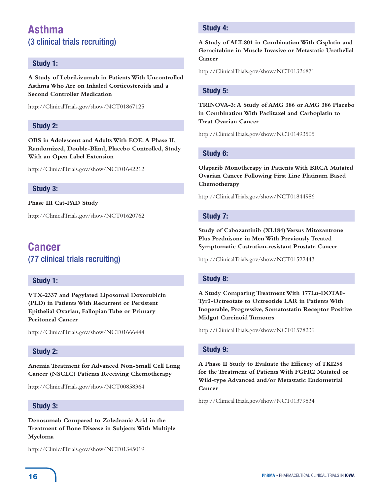# **Asthma**  (3 clinical trials recruiting)

# **Study 1:**

**A Study of Lebrikizumab in Patients With Uncontrolled Asthma Who Are on Inhaled Corticosteroids and a Second Controller Medication**

http://ClinicalTrials.gov/show/NCT01867125

# **Study 2:**

**OBS in Adolescent and Adults With EOE: A Phase II, Randomized, Double-Blind, Placebo Controlled, Study With an Open Label Extension**

http://ClinicalTrials.gov/show/NCT01642212

# **Study 3:**

**Phase III Cat-PAD Study**

http://ClinicalTrials.gov/show/NCT01620762

# **Cancer**  (77 clinical trials recruiting)

# **Study 1:**

**VTX-2337 and Pegylated Liposomal Doxorubicin (PLD) in Patients With Recurrent or Persistent Epithelial Ovarian, Fallopian Tube or Primary Peritoneal Cancer**

http://ClinicalTrials.gov/show/NCT01666444

# **Study 2:**

**Anemia Treatment for Advanced Non-Small Cell Lung Cancer (NSCLC) Patients Receiving Chemotherapy**

http://ClinicalTrials.gov/show/NCT00858364

# **Study 3:**

**Denosumab Compared to Zoledronic Acid in the Treatment of Bone Disease in Subjects With Multiple Myeloma**

http://ClinicalTrials.gov/show/NCT01345019

# **Study 4:**

**A Study of ALT-801 in Combination With Cisplatin and Gemcitabine in Muscle Invasive or Metastatic Urothelial Cancer**

http://ClinicalTrials.gov/show/NCT01326871

# **Study 5:**

**TRINOVA-3: A Study of AMG 386 or AMG 386 Placebo in Combination With Paclitaxel and Carboplatin to Treat Ovarian Cancer**

http://ClinicalTrials.gov/show/NCT01493505

# **Study 6:**

**Olaparib Monotherapy in Patients With BRCA Mutated Ovarian Cancer Following First Line Platinum Based Chemotherapy**

http://ClinicalTrials.gov/show/NCT01844986

# **Study 7:**

**Study of Cabozantinib (XL184) Versus Mitoxantrone Plus Prednisone in Men With Previously Treated Symptomatic Castration-resistant Prostate Cancer**

http://ClinicalTrials.gov/show/NCT01522443

# **Study 8:**

**A Study Comparing Treatment With 177Lu-DOTA0- Tyr3-Octreotate to Octreotide LAR in Patients With Inoperable, Progressive, Somatostatin Receptor Positive Midgut Carcinoid Tumours**

http://ClinicalTrials.gov/show/NCT01578239

# **Study 9:**

**A Phase II Study to Evaluate the Efficacy of TKI258 for the Treatment of Patients With FGFR2 Mutated or Wild-type Advanced and/or Metastatic Endometrial Cancer**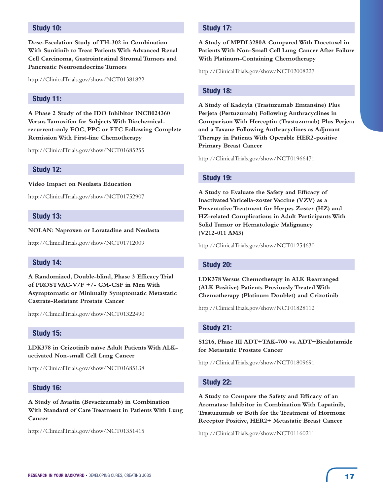# **Study 10:**

**Dose-Escalation Study of TH-302 in Combination With Sunitinib to Treat Patients With Advanced Renal Cell Carcinoma, Gastrointestinal Stromal Tumors and Pancreatic Neuroendocrine Tumors**

http://ClinicalTrials.gov/show/NCT01381822

# **Study 11:**

**A Phase 2 Study of the IDO Inhibitor INCB024360 Versus Tamoxifen for Subjects With Biochemicalrecurrent-only EOC, PPC or FTC Following Complete Remission With First-line Chemotherapy**

http://ClinicalTrials.gov/show/NCT01685255

#### **Study 12:**

**Video Impact on Neulasta Education**

http://ClinicalTrials.gov/show/NCT01752907

#### **Study 13:**

**NOLAN: Naproxen or Loratadine and Neulasta**

http://ClinicalTrials.gov/show/NCT01712009

## **Study 14:**

**A Randomized, Double-blind, Phase 3 Efficacy Trial of PROSTVAC-V/F +/- GM-CSF in Men With Asymptomatic or Minimally Symptomatic Metastatic Castrate-Resistant Prostate Cancer**

http://ClinicalTrials.gov/show/NCT01322490

# **Study 15:**

**LDK378 in Crizotinib naïve Adult Patients With ALKactivated Non-small Cell Lung Cancer**

http://ClinicalTrials.gov/show/NCT01685138

# **Study 16:**

**A Study of Avastin (Bevacizumab) in Combination With Standard of Care Treatment in Patients With Lung Cancer**

http://ClinicalTrials.gov/show/NCT01351415

# **Study 17:**

**A Study of MPDL3280A Compared With Docetaxel in Patients With Non-Small Cell Lung Cancer After Failure With Platinum-Containing Chemotherapy**

http://ClinicalTrials.gov/show/NCT02008227

#### **Study 18:**

**A Study of Kadcyla (Trastuzumab Emtansine) Plus Perjeta (Pertuzumab) Following Anthracyclines in Comparison With Herceptin (Trastuzumab) Plus Perjeta and a Taxane Following Anthracyclines as Adjuvant Therapy in Patients With Operable HER2-positive Primary Breast Cancer**

http://ClinicalTrials.gov/show/NCT01966471

#### **Study 19:**

**A Study to Evaluate the Safety and Efficacy of Inactivated Varicella-zoster Vaccine (VZV) as a Preventative Treatment for Herpes Zoster (HZ) and HZ-related Complications in Adult Participants With Solid Tumor or Hematologic Malignancy (V212-011 AM3)**

http://ClinicalTrials.gov/show/NCT01254630

#### **Study 20:**

**LDK378 Versus Chemotherapy in ALK Rearranged (ALK Positive) Patients Previously Treated With Chemotherapy (Platinum Doublet) and Crizotinib**

http://ClinicalTrials.gov/show/NCT01828112

#### **Study 21:**

**S1216, Phase III ADT+TAK-700 vs. ADT+Bicalutamide for Metastatic Prostate Cancer**

http://ClinicalTrials.gov/show/NCT01809691

#### **Study 22:**

**A Study to Compare the Safety and Efficacy of an Aromatase Inhibitor in Combination With Lapatinib, Trastuzumab or Both for the Treatment of Hormone Receptor Positive, HER2+ Metastatic Breast Cancer**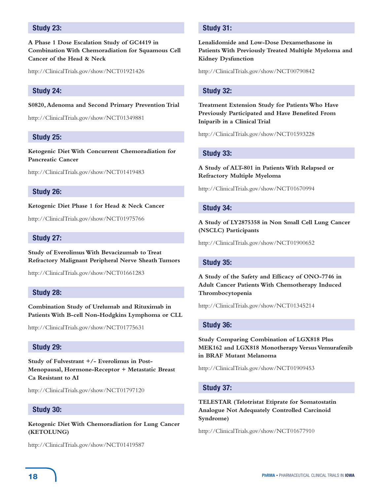# **Study 23:**

**A Phase 1 Dose Escalation Study of GC4419 in Combination With Chemoradiation for Squamous Cell Cancer of the Head & Neck**

http://ClinicalTrials.gov/show/NCT01921426

#### **Study 24:**

**S0820, Adenoma and Second Primary Prevention Trial**

http://ClinicalTrials.gov/show/NCT01349881

## **Study 25:**

**Ketogenic Diet With Concurrent Chemoradiation for Pancreatic Cancer**

http://ClinicalTrials.gov/show/NCT01419483

#### **Study 26:**

**Ketogenic Diet Phase 1 for Head & Neck Cancer**

http://ClinicalTrials.gov/show/NCT01975766

## **Study 27:**

**Study of Everolimus With Bevacizumab to Treat Refractory Malignant Peripheral Nerve Sheath Tumors**

http://ClinicalTrials.gov/show/NCT01661283

## **Study 28:**

**Combination Study of Urelumab and Rituximab in Patients With B-cell Non-Hodgkins Lymphoma or CLL**

http://ClinicalTrials.gov/show/NCT01775631

#### **Study 29:**

**Study of Fulvestrant +/- Everolimus in Post-Menopausal, Hormone-Receptor + Metastatic Breast Ca Resistant to AI**

http://ClinicalTrials.gov/show/NCT01797120

#### **Study 30:**

**Ketogenic Diet With Chemoradiation for Lung Cancer (KETOLUNG)**

http://ClinicalTrials.gov/show/NCT01419587

# **Study 31:**

**Lenalidomide and Low-Dose Dexamethasone in Patients With Previously Treated Multiple Myeloma and Kidney Dysfunction**

http://ClinicalTrials.gov/show/NCT00790842

#### **Study 32:**

**Treatment Extension Study for Patients Who Have Previously Participated and Have Benefited From Iniparib in a Clinical Trial**

http://ClinicalTrials.gov/show/NCT01593228

#### **Study 33:**

**A Study of ALT-801 in Patients With Relapsed or Refractory Multiple Myeloma**

http://ClinicalTrials.gov/show/NCT01670994

#### **Study 34:**

**A Study of LY2875358 in Non Small Cell Lung Cancer (NSCLC) Participants**

http://ClinicalTrials.gov/show/NCT01900652

#### **Study 35:**

**A Study of the Safety and Efficacy of ONO-7746 in Adult Cancer Patients With Chemotherapy Induced Thrombocytopenia**

http://ClinicalTrials.gov/show/NCT01345214

#### **Study 36:**

**Study Comparing Combination of LGX818 Plus MEK162 and LGX818 Monotherapy Versus Vemurafenib in BRAF Mutant Melanoma**

http://ClinicalTrials.gov/show/NCT01909453

# **Study 37:**

**TELESTAR (Telotristat Etiprate for Somatostatin Analogue Not Adequately Controlled Carcinoid Syndrome)**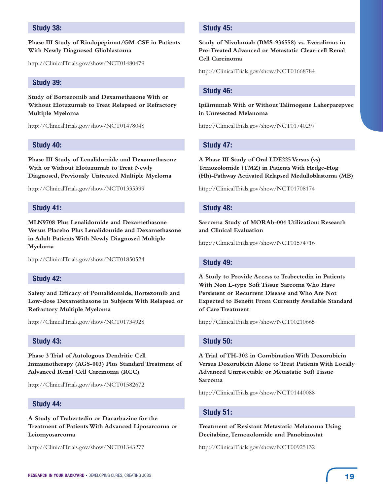# **Study 38:**

**Phase III Study of Rindopepimut/GM-CSF in Patients With Newly Diagnosed Glioblastoma**

http://ClinicalTrials.gov/show/NCT01480479

# **Study 39:**

**Study of Bortezomib and Dexamethasone With or Without Elotuzumab to Treat Relapsed or Refractory Multiple Myeloma**

http://ClinicalTrials.gov/show/NCT01478048

#### **Study 40:**

**Phase III Study of Lenalidomide and Dexamethasone With or Without Elotuzumab to Treat Newly Diagnosed, Previously Untreated Multiple Myeloma**

http://ClinicalTrials.gov/show/NCT01335399

# **Study 41:**

**MLN9708 Plus Lenalidomide and Dexamethasone Versus Placebo Plus Lenalidomide and Dexamethasone in Adult Patients With Newly Diagnosed Multiple Myeloma**

http://ClinicalTrials.gov/show/NCT01850524

# **Study 42:**

**Safety and Efficacy of Pomalidomide, Bortezomib and Low-dose Dexamethasone in Subjects With Relapsed or Refractory Multiple Myeloma**

http://ClinicalTrials.gov/show/NCT01734928

# **Study 43:**

**Phase 3 Trial of Autologous Dendritic Cell Immunotherapy (AGS-003) Plus Standard Treatment of Advanced Renal Cell Carcinoma (RCC)**

http://ClinicalTrials.gov/show/NCT01582672

#### **Study 44:**

**A Study of Trabectedin or Dacarbazine for the Treatment of Patients With Advanced Liposarcoma or Leiomyosarcoma**

http://ClinicalTrials.gov/show/NCT01343277

# **Study 45:**

**Study of Nivolumab (BMS-936558) vs. Everolimus in Pre-Treated Advanced or Metastatic Clear-cell Renal Cell Carcinoma**

http://ClinicalTrials.gov/show/NCT01668784

#### **Study 46:**

**Ipilimumab With or Without Talimogene Laherparepvec in Unresected Melanoma**

http://ClinicalTrials.gov/show/NCT01740297

## **Study 47:**

**A Phase III Study of Oral LDE225 Versus (vs) Temozolomide (TMZ) in Patients With Hedge-Hog (Hh)-Pathway Activated Relapsed Medulloblastoma (MB)**

http://ClinicalTrials.gov/show/NCT01708174

#### **Study 48:**

**Sarcoma Study of MORAb-004 Utilization: Research and Clinical Evaluation**

http://ClinicalTrials.gov/show/NCT01574716

#### **Study 49:**

**A Study to Provide Access to Trabectedin in Patients With Non L-type Soft Tissue Sarcoma Who Have Persistent or Recurrent Disease and Who Are Not Expected to Benefit From Currently Available Standard of Care Treatment**

http://ClinicalTrials.gov/show/NCT00210665

#### **Study 50:**

**A Trial of TH-302 in Combination With Doxorubicin Versus Doxorubicin Alone to Treat Patients With Locally Advanced Unresectable or Metastatic Soft Tissue Sarcoma**

http://ClinicalTrials.gov/show/NCT01440088

#### **Study 51:**

**Treatment of Resistant Metastatic Melanoma Using Decitabine, Temozolomide and Panobinostat**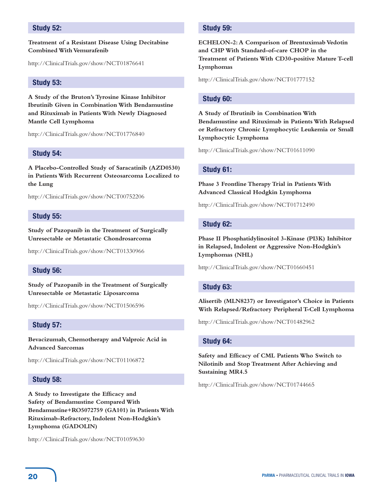# **Study 52:**

#### **Treatment of a Resistant Disease Using Decitabine Combined With Vemurafenib**

http://ClinicalTrials.gov/show/NCT01876641

# **Study 53:**

**A Study of the Bruton's Tyrosine Kinase Inhibitor Ibrutinib Given in Combination With Bendamustine and Rituximab in Patients With Newly Diagnosed Mantle Cell Lymphoma**

http://ClinicalTrials.gov/show/NCT01776840

#### **Study 54:**

**A Placebo-Controlled Study of Saracatinib (AZD0530) in Patients With Recurrent Osteosarcoma Localized to the Lung**

http://ClinicalTrials.gov/show/NCT00752206

## **Study 55:**

**Study of Pazopanib in the Treatment of Surgically Unresectable or Metastatic Chondrosarcoma**

http://ClinicalTrials.gov/show/NCT01330966

# **Study 56:**

**Study of Pazopanib in the Treatment of Surgically Unresectable or Metastatic Liposarcoma**

http://ClinicalTrials.gov/show/NCT01506596

# **Study 57:**

**Bevacizumab, Chemotherapy and Valproic Acid in Advanced Sarcomas**

http://ClinicalTrials.gov/show/NCT01106872

#### **Study 58:**

**A Study to Investigate the Efficacy and Safety of Bendamustine Compared With Bendamustine+RO5072759 (GA101) in Patients With Rituximab-Refractory, Indolent Non-Hodgkin's Lymphoma (GADOLIN)**

http://ClinicalTrials.gov/show/NCT01059630

## **Study 59:**

**ECHELON-2: A Comparison of Brentuximab Vedotin and CHP With Standard-of-care CHOP in the Treatment of Patients With CD30-positive Mature T-cell Lymphomas**

http://ClinicalTrials.gov/show/NCT01777152

## **Study 60:**

**A Study of Ibrutinib in Combination With Bendamustine and Rituximab in Patients With Relapsed or Refractory Chronic Lymphocytic Leukemia or Small Lymphocytic Lymphoma**

http://ClinicalTrials.gov/show/NCT01611090

#### **Study 61:**

**Phase 3 Frontline Therapy Trial in Patients With Advanced Classical Hodgkin Lymphoma**

http://ClinicalTrials.gov/show/NCT01712490

#### **Study 62:**

**Phase II Phosphatidylinositol 3-Kinase (PI3K) Inhibitor in Relapsed, Indolent or Aggressive Non-Hodgkin's Lymphomas (NHL)**

http://ClinicalTrials.gov/show/NCT01660451

#### **Study 63:**

**Alisertib (MLN8237) or Investigator's Choice in Patients With Relapsed/Refractory Peripheral T-Cell Lymphoma**

http://ClinicalTrials.gov/show/NCT01482962

# **Study 64:**

**Safety and Efficacy of CML Patients Who Switch to Nilotinib and Stop Treatment After Achieving and Sustaining MR4.5**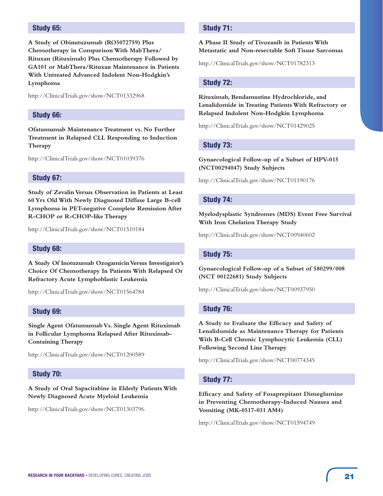# **Study 65:**

**A Study of Obinutuzumab (RO5072759) Plus Chemotherapy in Comparison With MabThera/ Rituxan (Rituximab) Plus Chemotherapy Followed by GA101 or MabThera/Rituxan Maintenance in Patients With Untreated Advanced Indolent Non-Hodgkin's Lymphoma** 

http://ClinicalTrials.gov/show/NCT01332968

#### **Study 66:**

**Ofatumumab Maintenance Treatment vs. No Further Treatment in Relapsed CLL Responding to Induction Therapy**

http://ClinicalTrials.gov/show/NCT01039376

# **Study 67:**

**Study of Zevalin Versus Observation in Patients at Least 60 Yrs Old With Newly Diagnosed Diffuse Large B-cell Lymphoma in PET-negative Complete Remission After R-CHOP or R-CHOP-like Therapy**

http://ClinicalTrials.gov/show/NCT01510184

#### **Study 68:**

**A Study Of Inotuzumab Ozogamicin Versus Investigator's Choice Of Chemotherapy In Patients With Relapsed Or Refractory Acute Lymphoblastic Leukemia**

http://ClinicalTrials.gov/show/NCT01564784

#### **Study 69:**

**Single Agent Ofatumumab Vs. Single Agent Rituximab in Follicular Lymphoma Relapsed After Rituximab-Containing Therapy**

http://ClinicalTrials.gov/show/NCT01200589

#### **Study 70:**

**A Study of Oral Sapacitabine in Elderly Patients With Newly Diagnosed Acute Myeloid Leukemia**

http://ClinicalTrials.gov/show/NCT01303796

# **Study 71:**

## **A Phase II Study of Tivozanib in Patients With Metastatic and Non-resectable Soft Tissue Sarcomas**

http://ClinicalTrials.gov/show/NCT01782313

#### **Study 72:**

**Rituximab, Bendamustine Hydrochloride, and Lenalidomide in Treating Patients With Refractory or Relapsed Indolent Non-Hodgkin Lymphoma**

http://ClinicalTrials.gov/show/NCT01429025

#### **Study 73:**

**Gynaecological Follow-up of a Subset of HPV-015 (NCT00294047) Study Subjects**

http://ClinicalTrials.gov/show/NCT01190176

#### **Study 74:**

**Myelodysplastic Syndromes (MDS) Event Free Survival With Iron Chelation Therapy Study**

http://ClinicalTrials.gov/show/NCT00940602

#### **Study 75:**

**Gynaecological Follow-up of a Subset of 580299/008 (NCT 00122681) Study Subjects**

http://ClinicalTrials.gov/show/NCT00937950

#### **Study 76:**

**A Study to Evaluate the Efficacy and Safety of Lenalidomide as Maintenance Therapy for Patients With B-Cell Chronic Lymphocytic Leukemia (CLL) Following Second Line Therapy**

http://ClinicalTrials.gov/show/NCT00774345

#### **Study 77:**

**Efficacy and Safety of Fosaprepitant Dimeglumine in Preventing Chemotherapy-Induced Nausea and Vomiting (MK-0517-031 AM4)**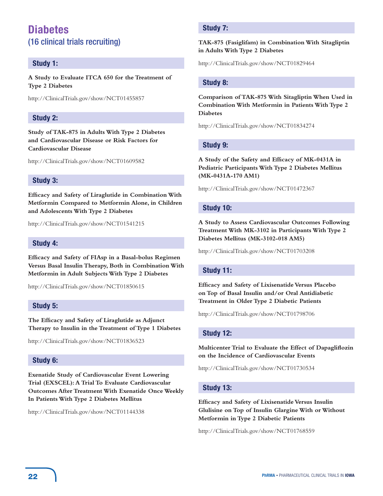# **Diabetes** (16 clinical trials recruiting)

# **Study 1:**

**A Study to Evaluate ITCA 650 for the Treatment of Type 2 Diabetes**

http://ClinicalTrials.gov/show/NCT01455857

# **Study 2:**

**Study of TAK-875 in Adults With Type 2 Diabetes and Cardiovascular Disease or Risk Factors for Cardiovascular Disease**

http://ClinicalTrials.gov/show/NCT01609582

# **Study 3:**

**Efficacy and Safety of Liraglutide in Combination With Metformin Compared to Metformin Alone, in Children and Adolescents With Type 2 Diabetes**

http://ClinicalTrials.gov/show/NCT01541215

# **Study 4:**

**Efficacy and Safety of FIAsp in a Basal-bolus Regimen Versus Basal Insulin Therapy, Both in Combination With Metformin in Adult Subjects With Type 2 Diabetes**

http://ClinicalTrials.gov/show/NCT01850615

# **Study 5:**

**The Efficacy and Safety of Liraglutide as Adjunct Therapy to Insulin in the Treatment of Type 1 Diabetes**

http://ClinicalTrials.gov/show/NCT01836523

# **Study 6:**

**Exenatide Study of Cardiovascular Event Lowering Trial (EXSCEL): A Trial To Evaluate Cardiovascular Outcomes After Treatment With Exenatide Once Weekly In Patients With Type 2 Diabetes Mellitus**

http://ClinicalTrials.gov/show/NCT01144338

# **Study 7:**

## **TAK-875 (Fasiglifam) in Combination With Sitagliptin in Adults With Type 2 Diabetes**

http://ClinicalTrials.gov/show/NCT01829464

# **Study 8:**

**Comparison of TAK-875 With Sitagliptin When Used in Combination With Metformin in Patients With Type 2 Diabetes**

http://ClinicalTrials.gov/show/NCT01834274

# **Study 9:**

**A Study of the Safety and Efficacy of MK-0431A in Pediatric Participants With Type 2 Diabetes Mellitus (MK-0431A-170 AM1)**

http://ClinicalTrials.gov/show/NCT01472367

# **Study 10:**

**A Study to Assess Cardiovascular Outcomes Following Treatment With MK-3102 in Participants With Type 2 Diabetes Mellitus (MK-3102-018 AM5)**

http://ClinicalTrials.gov/show/NCT01703208

# **Study 11:**

**Efficacy and Safety of Lixisenatide Versus Placebo on Top of Basal Insulin and/or Oral Antidiabetic Treatment in Older Type 2 Diabetic Patients**

http://ClinicalTrials.gov/show/NCT01798706

## **Study 12:**

**Multicenter Trial to Evaluate the Effect of Dapagliflozin on the Incidence of Cardiovascular Events**

http://ClinicalTrials.gov/show/NCT01730534

# **Study 13:**

**Efficacy and Safety of Lixisenatide Versus Insulin Glulisine on Top of Insulin Glargine With or Without Metformin in Type 2 Diabetic Patients**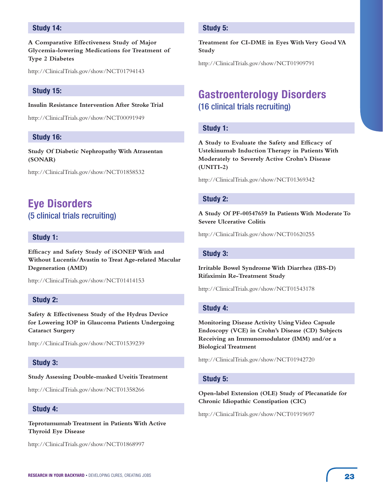# **Study 14:**

**A Comparative Effectiveness Study of Major Glycemia-lowering Medications for Treatment of Type 2 Diabetes**

http://ClinicalTrials.gov/show/NCT01794143

## **Study 15:**

**Insulin Resistance Intervention After Stroke Trial**

http://ClinicalTrials.gov/show/NCT00091949

#### **Study 16:**

**Study Of Diabetic Nephropathy With Atrasentan (SONAR)**

http://ClinicalTrials.gov/show/NCT01858532

# **Eye Disorders**  (5 clinical trials recruiting)

# **Study 1:**

**Efficacy and Safety Study of iSONEP With and Without Lucentis/Avastin to Treat Age-related Macular Degeneration (AMD)**

http://ClinicalTrials.gov/show/NCT01414153

# **Study 2:**

**Safety & Effectiveness Study of the Hydrus Device for Lowering IOP in Glaucoma Patients Undergoing Cataract Surgery**

http://ClinicalTrials.gov/show/NCT01539239

# **Study 3:**

#### **Study Assessing Double-masked Uveitis Treatment**

http://ClinicalTrials.gov/show/NCT01358266

## **Study 4:**

**Teprotumumab Treatment in Patients With Active Thyroid Eye Disease**

http://ClinicalTrials.gov/show/NCT01868997

# **Study 5:**

**Treatment for CI-DME in Eyes With Very Good VA Study**

http://ClinicalTrials.gov/show/NCT01909791

# **Gastroenterology Disorders**  (16 clinical trials recruiting)

#### **Study 1:**

**A Study to Evaluate the Safety and Efficacy of Ustekinumab Induction Therapy in Patients With Moderately to Severely Active Crohn's Disease (UNITI-2)**

http://ClinicalTrials.gov/show/NCT01369342

#### **Study 2:**

**A Study Of PF-00547659 In Patients With Moderate To Severe Ulcerative Colitis**

http://ClinicalTrials.gov/show/NCT01620255

# **Study 3:**

**Irritable Bowel Syndrome With Diarrhea (IBS-D) Rifaximin Re-Treatment Study**

http://ClinicalTrials.gov/show/NCT01543178

#### **Study 4:**

**Monitoring Disease Activity Using Video Capsule Endoscopy (VCE) in Crohn's Disease (CD) Subjects Receiving an Immunomodulator (IMM) and/or a Biological Treatment**

http://ClinicalTrials.gov/show/NCT01942720

#### **Study 5:**

**Open-label Extension (OLE) Study of Plecanatide for Chronic Idiopathic Constipation (CIC)**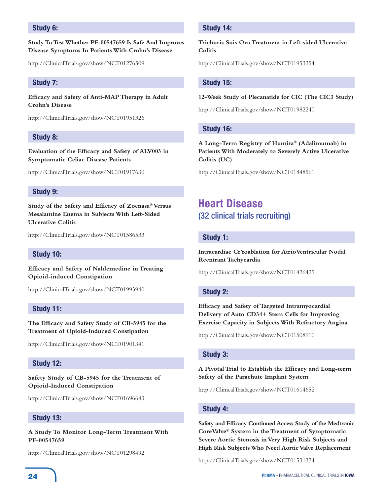# **Study 6:**

**Study To Test Whether PF-00547659 Is Safe And Improves Disease Symptoms In Patients With Crohn's Disease**

http://ClinicalTrials.gov/show/NCT01276509

# **Study 7:**

**Efficacy and Safety of Anti-MAP Therapy in Adult Crohn's Disease**

http://ClinicalTrials.gov/show/NCT01951326

# **Study 8:**

**Evaluation of the Efficacy and Safety of ALV003 in Symptomatic Celiac Disease Patients**

http://ClinicalTrials.gov/show/NCT01917630

# **Study 9:**

**Study of the Safety and Efficacy of Zoenasa® Versus Mesalamine Enema in Subjects With Left-Sided Ulcerative Colitis**

http://ClinicalTrials.gov/show/NCT01586533

# **Study 10:**

**Efficacy and Safety of Naldemedine in Treating Opioid-induced Constipation**

http://ClinicalTrials.gov/show/NCT01993940

# **Study 11:**

**The Efficacy and Safety Study of CB-5945 for the Treatment of Opioid-Induced Constipation**

http://ClinicalTrials.gov/show/NCT01901341

# **Study 12:**

**Safety Study of CB-5945 for the Treatment of Opioid-Induced Constipation**

http://ClinicalTrials.gov/show/NCT01696643

#### **Study 13:**

**A Study To Monitor Long-Term Treatment With PF-00547659**

http://ClinicalTrials.gov/show/NCT01298492

# **Study 14:**

**Trichuris Suis Ova Treatment in Left-sided Ulcerative Colitis**

http://ClinicalTrials.gov/show/NCT01953354

## **Study 15:**

#### **12-Week Study of Plecanatide for CIC (The CIC3 Study)**

http://ClinicalTrials.gov/show/NCT01982240

# **Study 16:**

**A Long-Term Registry of Humira® (Adalimumab) in Patients With Moderately to Severely Active Ulcerative Colitis (UC)**

http://ClinicalTrials.gov/show/NCT01848561

# **Heart Disease** (32 clinical trials recruiting)

## **Study 1:**

**Intracardiac CrYoablation for AtrioVentricular Nodal Reentrant Tachycardia**

http://ClinicalTrials.gov/show/NCT01426425

# **Study 2:**

**Efficacy and Safety of Targeted Intramyocardial Delivery of Auto CD34+ Stem Cells for Improving Exercise Capacity in Subjects With Refractory Angina**

http://ClinicalTrials.gov/show/NCT01508910

## **Study 3:**

# **A Pivotal Trial to Establish the Efficacy and Long-term Safety of the Parachute Implant System**

http://ClinicalTrials.gov/show/NCT01614652

# **Study 4:**

**Safety and Efficacy Continued Access Study of the Medtronic CoreValve® System in the Treatment of Symptomatic Severe Aortic Stenosis in Very High Risk Subjects and High Risk Subjects Who Need Aortic Valve Replacement**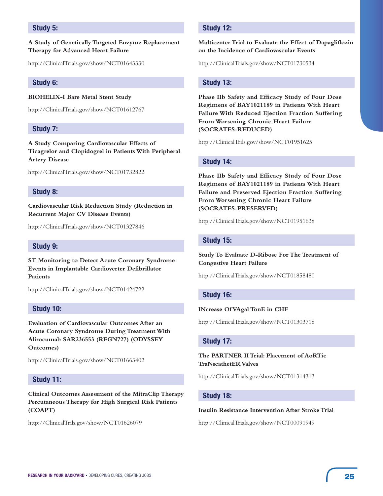# **Study 5:**

#### **A Study of Genetically Targeted Enzyme Replacement Therapy for Advanced Heart Failure**

http://ClinicalTrials.gov/show/NCT01643330

# **Study 6:**

**BIOHELIX-I Bare Metal Stent Study**

http://ClinicalTrials.gov/show/NCT01612767

# **Study 7:**

**A Study Comparing Cardiovascular Effects of Ticagrelor and Clopidogrel in Patients With Peripheral Artery Disease**

http://ClinicalTrials.gov/show/NCT01732822

## **Study 8:**

**Cardiovascular Risk Reduction Study (Reduction in Recurrent Major CV Disease Events)**

http://ClinicalTrials.gov/show/NCT01327846

# **Study 9:**

**ST Monitoring to Detect Acute Coronary Syndrome Events in Implantable Cardioverter Defibrillator Patients**

http://ClinicalTrials.gov/show/NCT01424722

## **Study 10:**

**Evaluation of Cardiovascular Outcomes After an Acute Coronary Syndrome During Treatment With Alirocumab SAR236553 (REGN727) (ODYSSEY Outcomes)**

http://ClinicalTrials.gov/show/NCT01663402

## **Study 11:**

**Clinical Outcomes Assessment of the MitraClip Therapy Percutaneous Therapy for High Surgical Risk Patients (COAPT)**

http://ClinicalTrils.gov/show/NCT01626079

# **Study 12:**

# **Multicenter Trial to Evaluate the Effect of Dapagliflozin on the Incidence of Cardiovascular Events**

http://ClinicalTrials.gov/show/NCT01730534

#### **Study 13:**

**Phase IIb Safety and Efficacy Study of Four Dose Regimens of BAY1021189 in Patients With Heart Failure With Reduced Ejection Fraction Suffering From Worsening Chronic Heart Failure (SOCRATES-REDUCED)**

http://ClinicalTrils.gov/show/NCT01951625

# **Study 14:**

**Phase IIb Safety and Efficacy Study of Four Dose Regimens of BAY1021189 in Patients With Heart Failure and Preserved Ejection Fraction Suffering From Worsening Chronic Heart Failure (SOCRATES-PRESERVED)**

http://ClinicalTrials.gov/show/NCT01951638

## **Study 15:**

**Study To Evaluate D-Ribose For The Treatment of Congestive Heart Failure**

http://ClinicalTrials.gov/show/NCT01858480

# **Study 16:**

#### **INcrease Of VAgal TonE in CHF**

http://ClinicalTrials.gov/show/NCT01303718

# **Study 17:**

**The PARTNER II Trial: Placement of AoRTic TraNscathetER Valves**

http://ClinicalTrials.gov/show/NCT01314313

# **Study 18:**

#### **Insulin Resistance Intervention After Stroke Trial**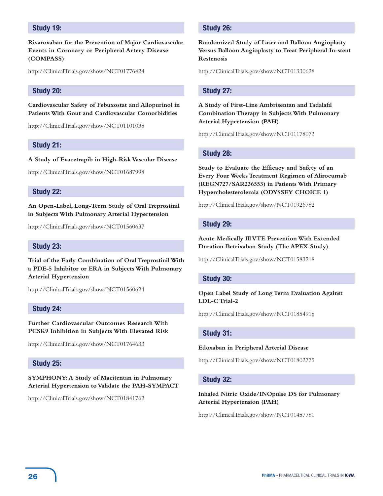# **Study 19:**

**Rivaroxaban for the Prevention of Major Cardiovascular Events in Coronary or Peripheral Artery Disease (COMPASS)**

http://ClinicalTrials.gov/show/NCT01776424

# **Study 20:**

**Cardiovascular Safety of Febuxostat and Allopurinol in Patients With Gout and Cardiovascular Comorbidities**

http://ClinicalTrials.gov/show/NCT01101035

#### **Study 21:**

**A Study of Evacetrapib in High-Risk Vascular Disease**

http://ClinicalTrials.gov/show/NCT01687998

#### **Study 22:**

**An Open-Label, Long-Term Study of Oral Treprostinil in Subjects With Pulmonary Arterial Hypertension**

http://ClinicalTrials.gov/show/NCT01560637

#### **Study 23:**

**Trial of the Early Combination of Oral Treprostinil With a PDE-5 Inhibitor or ERA in Subjects With Pulmonary Arterial Hypertension**

http://ClinicalTrials.gov/show/NCT01560624

#### **Study 24:**

**Further Cardiovascular Outcomes Research With PCSK9 Inhibition in Subjects With Elevated Risk**

http://ClinicalTrials.gov/show/NCT01764633

#### **Study 25:**

**SYMPHONY: A Study of Macitentan in Pulmonary Arterial Hypertension to Validate the PAH-SYMPACT**

http://ClinicalTrials.gov/show/NCT01841762

### **Study 26:**

**Randomized Study of Laser and Balloon Angioplasty Versus Balloon Angioplasty to Treat Peripheral In-stent Restenosis**

http://ClinicalTrials.gov/show/NCT01330628

#### **Study 27:**

**A Study of First-Line Ambrisentan and Tadalafil Combination Therapy in Subjects With Pulmonary Arterial Hypertension (PAH)**

http://ClinicalTrials.gov/show/NCT01178073

#### **Study 28:**

**Study to Evaluate the Efficacy and Safety of an Every Four Weeks Treatment Regimen of Alirocumab (REGN727/SAR236553) in Patients With Primary Hypercholesterolemia (ODYSSEY CHOICE 1)**

http://ClinicalTrials.gov/show/NCT01926782

#### **Study 29:**

**Acute Medically Ill VTE Prevention With Extended Duration Betrixaban Study (The APEX Study)**

http://ClinicalTrials.gov/show/NCT01583218

#### **Study 30:**

#### **Open Label Study of Long Term Evaluation Against LDL-C Trial-2**

http://ClinicalTrials.gov/show/NCT01854918

#### **Study 31:**

#### **Edoxaban in Peripheral Arterial Disease**

http://ClinicalTrials.gov/show/NCT01802775

#### **Study 32:**

# **Inhaled Nitric Oxide/INOpulse DS for Pulmonary Arterial Hypertension (PAH)**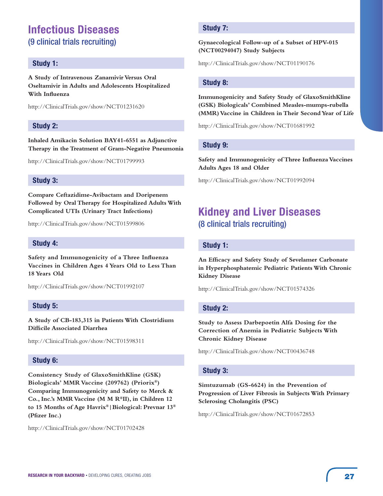# **Infectious Diseases**  (9 clinical trials recruiting)

# **Study 1:**

**A Study of Intravenous Zanamivir Versus Oral Oseltamivir in Adults and Adolescents Hospitalized With Influenza**

http://ClinicalTrials.gov/show/NCT01231620

# **Study 2:**

**Inhaled Amikacin Solution BAY41-6551 as Adjunctive Therapy in the Treatment of Gram-Negative Pneumonia**

http://ClinicalTrials.gov/show/NCT01799993

# **Study 3:**

**Compare Ceftazidime-Avibactam and Doripenem Followed by Oral Therapy for Hospitalized Adults With Complicated UTIs (Urinary Tract Infections)**

http://ClinicalTrials.gov/show/NCT01599806

# **Study 4:**

**Safety and Immunogenicity of a Three Influenza Vaccines in Children Ages 4 Years Old to Less Than 18 Years Old**

http://ClinicalTrials.gov/show/NCT01992107

# **Study 5:**

**A Study of CB-183,315 in Patients With Clostridium Difficile Associated Diarrhea**

http://ClinicalTrials.gov/show/NCT01598311

# **Study 6:**

**Consistency Study of GlaxoSmithKline (GSK) Biologicals' MMR Vaccine (209762) (Priorix®) Comparing Immunogenicity and Safety to Merck & Co., Inc.'s MMR Vaccine (M M R®II), in Children 12 to 15 Months of Age Havrix®|Biological: Prevnar 13® (Pfizer Inc.)**

http://ClinicalTrials.gov/show/NCT01702428

# **Study 7:**

**Gynaecological Follow-up of a Subset of HPV-015 (NCT00294047) Study Subjects**

http://ClinicalTrials.gov/show/NCT01190176

# **Study 8:**

**Immunogenicity and Safety Study of GlaxoSmithKline (GSK) Biologicals' Combined Measles-mumps-rubella (MMR) Vaccine in Children in Their Second Year of Life**

http://ClinicalTrials.gov/show/NCT01681992

# **Study 9:**

**Safety and Immunogenicity of Three Influenza Vaccines Adults Ages 18 and Older**

http://ClinicalTrials.gov/show/NCT01992094

# **Kidney and Liver Diseases** (8 clinical trials recruiting)

## **Study 1:**

**An Efficacy and Safety Study of Sevelamer Carbonate in Hyperphosphatemic Pediatric Patients With Chronic Kidney Disease**

http://ClinicalTrials.gov/show/NCT01574326

## **Study 2:**

**Study to Assess Darbepoetin Alfa Dosing for the Correction of Anemia in Pediatric Subjects With Chronic Kidney Disease**

http://ClinicalTrials.gov/show/NCT00436748

## **Study 3:**

**Simtuzumab (GS-6624) in the Prevention of Progression of Liver Fibrosis in Subjects With Primary Sclerosing Cholangitis (PSC)**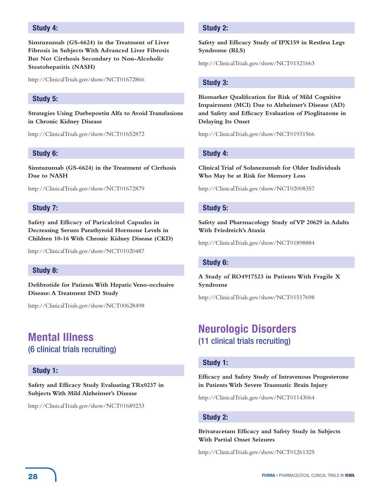# **Study 4:**

**Simtuzumab (GS-6624) in the Treatment of Liver Fibrosis in Subjects With Advanced Liver Fibrosis But Not Cirrhosis Secondary to Non-Alcoholic Steatohepatitis (NASH)**

http://ClinicalTrials.gov/show/NCT01672866

#### **Study 5:**

**Strategies Using Darbepoetin Alfa to Avoid Transfusions in Chronic Kidney Disease**

http://ClinicalTrials.gov/show/NCT01652872

#### **Study 6:**

**Simtuzumab (GS-6624) in the Treatment of Cirrhosis Due to NASH**

http://ClinicalTrials.gov/show/NCT01672879

### **Study 7:**

**Safety and Efficacy of Paricalcitol Capsules in Decreasing Serum Parathyroid Hormone Levels in Children 10-16 With Chronic Kidney Disease (CKD)**

http://ClinicalTrials.gov/show/NCT01020487

# **Study 8:**

**Defibrotide for Patients With Hepatic Veno-occlusive Disease: A Treatment IND Study**

http://ClinicalTrials.gov/show/NCT00628498

# **Mental Illness** (6 clinical trials recruiting)

#### **Study 1:**

**Safety and Efficacy Study Evaluating TRx0237 in Subjects With Mild Alzheimer's Disease**

http://ClinicalTrials.gov/show/NCT01689233

# **Study 2:**

**Safety and Efficacy Study of IPX159 in Restless Legs Syndrome (RLS)**

http://ClinicalTrials.gov/show/NCT01521663

#### **Study 3:**

**Biomarker Qualification for Risk of Mild Cognitive Impairment (MCI) Due to Alzheimer's Disease (AD) and Safety and Efficacy Evaluation of Pioglitazone in Delaying Its Onset**

http://ClinicalTrials.gov/show/NCT01931566

## **Study 4:**

**Clinical Trial of Solanezumab for Older Individuals Who May be at Risk for Memory Loss**

http://ClinicalTrials.gov/show/NCT02008357

#### **Study 5:**

**Safety and Pharmacology Study of VP 20629 in Adults With Friedreich's Ataxia**

http://ClinicalTrials.gov/show/NCT01898884

#### **Study 6:**

**A Study of RO4917523 in Patients With Fragile X Syndrome**

http://ClinicalTrials.gov/show/NCT01517698

# **Neurologic Disorders**  (11 clinical trials recruiting)

# **Study 1:**

**Efficacy and Safety Study of Intravenous Progesterone in Patients With Severe Traumatic Brain Injury**

http://ClinicalTrials.gov/show/NCT01143064

## **Study 2:**

**Brivaracetam Efficacy and Safety Study in Subjects With Partial Onset Seizures**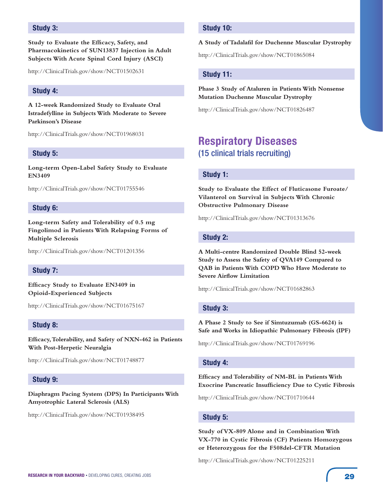# **Study 3:**

**Study to Evaluate the Efficacy, Safety, and Pharmacokinetics of SUN13837 Injection in Adult Subjects With Acute Spinal Cord Injury (ASCI)**

http://ClinicalTrials.gov/show/NCT01502631

# **Study 4:**

**A 12-week Randomized Study to Evaluate Oral Istradefylline in Subjects With Moderate to Severe Parkinson's Disease**

http://ClinicalTrials.gov/show/NCT01968031

#### **Study 5:**

**Long-term Open-Label Safety Study to Evaluate EN3409**

http://ClinicalTrials.gov/show/NCT01755546

#### **Study 6:**

**Long-term Safety and Tolerability of 0.5 mg Fingolimod in Patients With Relapsing Forms of Multiple Sclerosis**

http://ClinicalTrials.gov/show/NCT01201356

# **Study 7:**

**Efficacy Study to Evaluate EN3409 in Opioid-Experienced Subjects**

http://ClinicalTrials.gov/show/NCT01675167

#### **Study 8:**

**Efficacy, Tolerability, and Safety of NXN-462 in Patients With Post-Herpetic Neuralgia**

http://ClinicalTrials.gov/show/NCT01748877

#### **Study 9:**

**Diaphragm Pacing System (DPS) In Participants With Amyotrophic Lateral Sclerosis (ALS)**

http://ClinicalTrials.gov/show/NCT01938495

# **Study 10:**

#### **A Study of Tadalafil for Duchenne Muscular Dystrophy**

http://ClinicalTrials.gov/show/NCT01865084

#### **Study 11:**

# **Phase 3 Study of Ataluren in Patients With Nonsense Mutation Duchenne Muscular Dystrophy**

http://ClinicalTrials.gov/show/NCT01826487

# **Respiratory Diseases**  (15 clinical trials recruiting)

#### **Study 1:**

**Study to Evaluate the Effect of Fluticasone Furoate/ Vilanterol on Survival in Subjects With Chronic Obstructive Pulmonary Disease**

http://ClinicalTrials.gov/show/NCT01313676

#### **Study 2:**

**A Multi-centre Randomized Double Blind 52-week Study to Assess the Safety of QVA149 Compared to QAB in Patients With COPD Who Have Moderate to Severe Airflow Limitation**

http://ClinicalTrials.gov/show/NCT01682863

#### **Study 3:**

**A Phase 2 Study to See if Simtuzumab (GS-6624) is Safe and Works in Idiopathic Pulmonary Fibrosis (IPF)**

http://ClinicalTrials.gov/show/NCT01769196

## **Study 4:**

**Efficacy and Tolerability of NM-BL in Patients With Exocrine Pancreatic Insufficiency Due to Cystic Fibrosis**

http://ClinicalTrials.gov/show/NCT01710644

#### **Study 5:**

**Study of VX-809 Alone and in Combination With VX-770 in Cystic Fibrosis (CF) Patients Homozygous or Heterozygous for the F508del-CFTR Mutation**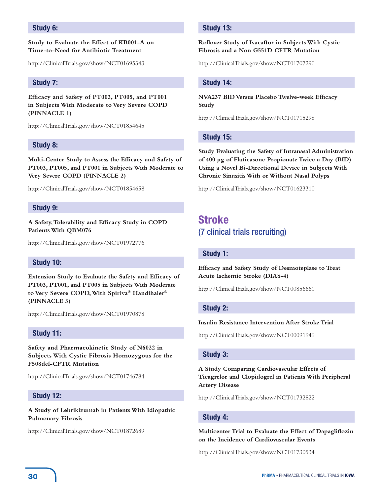# **Study 6:**

### **Study to Evaluate the Effect of KB001-A on Time-to-Need for Antibiotic Treatment**

http://ClinicalTrials.gov/show/NCT01695343

# **Study 7:**

**Efficacy and Safety of PT003, PT005, and PT001 in Subjects With Moderate to Very Severe COPD (PINNACLE 1)**

http://ClinicalTrials.gov/show/NCT01854645

# **Study 8:**

**Multi-Center Study to Assess the Efficacy and Safety of PT003, PT005, and PT001 in Subjects With Moderate to Very Severe COPD (PINNACLE 2)**

http://ClinicalTrials.gov/show/NCT01854658

## **Study 9:**

**A Safety, Tolerability and Efficacy Study in COPD Patients With QBM076**

http://ClinicalTrials.gov/show/NCT01972776

## **Study 10:**

**Extension Study to Evaluate the Safety and Efficacy of PT003, PT001, and PT005 in Subjects With Moderate to Very Severe COPD, With Spiriva® Handihaler® (PINNACLE 3)**

http://ClinicalTrials.gov/show/NCT01970878

# **Study 11:**

**Safety and Pharmacokinetic Study of N6022 in Subjects With Cystic Fibrosis Homozygous for the F508del-CFTR Mutation**

http://ClinicalTrials.gov/show/NCT01746784

## **Study 12:**

**A Study of Lebrikizumab in Patients With Idiopathic Pulmonary Fibrosis**

http://ClinicalTrials.gov/show/NCT01872689

# **Study 13:**

**Rollover Study of Ivacaftor in Subjects With Cystic Fibrosis and a Non G551D CFTR Mutation**

http://ClinicalTrials.gov/show/NCT01707290

## **Study 14:**

**NVA237 BID Versus Placebo Twelve-week Efficacy Study**

http://ClinicalTrials.gov/show/NCT01715298

# **Study 15:**

**Study Evaluating the Safety of Intranasal Administration of 400 μg of Fluticasone Propionate Twice a Day (BID) Using a Novel Bi-Directional Device in Subjects With Chronic Sinusitis With or Without Nasal Polyps**

http://ClinicalTrials.gov/show/NCT01623310

# **Stroke** (7 clinical trials recruiting)

# **Study 1:**

**Efficacy and Safety Study of Desmoteplase to Treat Acute Ischemic Stroke (DIAS-4)**

http://ClinicalTrials.gov/show/NCT00856661

#### **Study 2:**

#### **Insulin Resistance Intervention After Stroke Trial**

http://ClinicalTrials.gov/show/NCT00091949

## **Study 3:**

**A Study Comparing Cardiovascular Effects of Ticagrelor and Clopidogrel in Patients With Peripheral Artery Disease**

http://ClinicalTrials.gov/show/NCT01732822

## **Study 4:**

**Multicenter Trial to Evaluate the Effect of Dapagliflozin on the Incidence of Cardiovascular Events**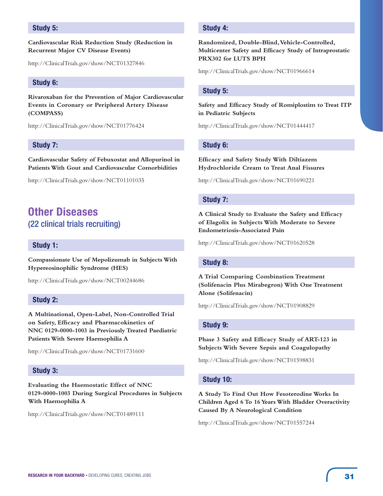# **Study 5:**

**Cardiovascular Risk Reduction Study (Reduction in Recurrent Major CV Disease Events)**

http://ClinicalTrials.gov/show/NCT01327846

## **Study 6:**

**Rivaroxaban for the Prevention of Major Cardiovascular Events in Coronary or Peripheral Artery Disease (COMPASS)**

http://ClinicalTrials.gov/show/NCT01776424

# **Study 7:**

**Cardiovascular Safety of Febuxostat and Allopurinol in Patients With Gout and Cardiovascular Comorbidities**

http://ClinicalTrials.gov/show/NCT01101035

# **Other Diseases**  (22 clinical trials recruiting)

# **Study 1:**

**Compassionate Use of Mepolizumab in Subjects With Hypereosinophilic Syndrome (HES)**

http://ClinicalTrials.gov/show/NCT00244686

# **Study 2:**

**A Multinational, Open-Label, Non-Controlled Trial on Safety, Efficacy and Pharmacokinetics of NNC 0129-0000-1003 in Previously Treated Paediatric Patients With Severe Haemophilia A**

http://ClinicalTrials.gov/show/NCT01731600

## **Study 3:**

**Evaluating the Haemostatic Effect of NNC 0129-0000-1003 During Surgical Procedures in Subjects With Haemophilia A**

http://ClinicalTrials.gov/show/NCT01489111

## **Study 4:**

**Randomized, Double-Blind, Vehicle-Controlled, Multicenter Safety and Efficacy Study of Intraprostatic PRX302 for LUTS BPH**

http://ClinicalTrials.gov/show/NCT01966614

# **Study 5:**

**Safety and Efficacy Study of Romiplostim to Treat ITP in Pediatric Subjects**

http://ClinicalTrials.gov/show/NCT01444417

#### **Study 6:**

**Efficacy and Safety Study With Diltiazem Hydrochloride Cream to Treat Anal Fissures**

http://ClinicalTrials.gov/show/NCT01690221

#### **Study 7:**

**A Clinical Study to Evaluate the Safety and Efficacy of Elagolix in Subjects With Moderate to Severe Endometriosis-Associated Pain**

http://ClinicalTrials.gov/show/NCT01620528

#### **Study 8:**

**A Trial Comparing Combination Treatment (Solifenacin Plus Mirabegron) With One Treatment Alone (Solifenacin)**

http://ClinicalTrials.gov/show/NCT01908829

# **Study 9:**

**Phase 3 Safety and Efficacy Study of ART-123 in Subjects With Severe Sepsis and Coagulopathy**

http://ClinicalTrials.gov/show/NCT01598831

#### **Study 10:**

**A Study To Find Out How Fesoterodine Works In Children Aged 6 To 16 Years With Bladder Overactivity Caused By A Neurological Condition**